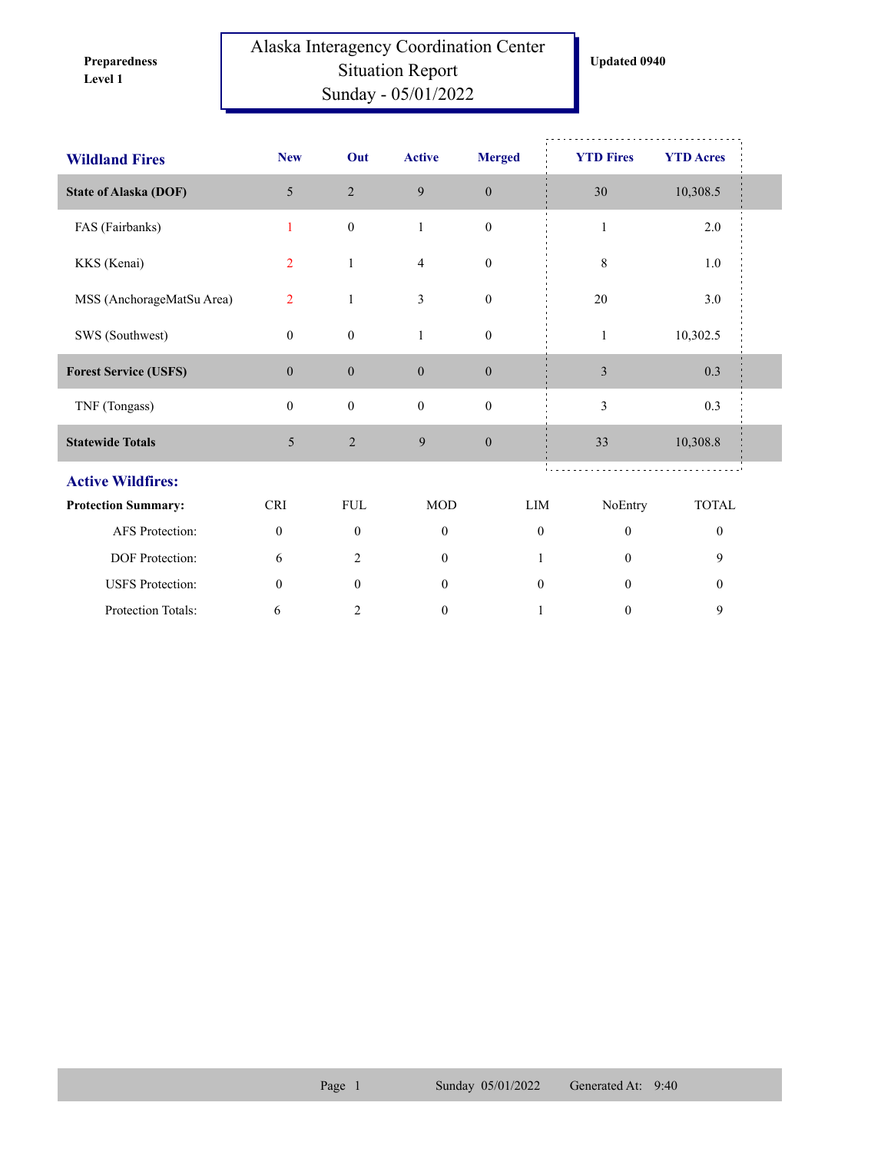**Level 1 Preparedness** 

## Alaska Interagency Coordination Center Situation Report Sunday - 05/01/2022

| <b>Wildland Fires</b>        | <b>New</b>       | Out              | <b>Active</b>    | <b>Merged</b>    | <b>YTD Fires</b> | <b>YTD Acres</b> |
|------------------------------|------------------|------------------|------------------|------------------|------------------|------------------|
| <b>State of Alaska (DOF)</b> | 5                | $\overline{2}$   | 9                | $\boldsymbol{0}$ | 30               | 10,308.5         |
| FAS (Fairbanks)              | 1                | $\boldsymbol{0}$ | $\mathbf{1}$     | $\boldsymbol{0}$ | $\mathbf{1}$     | 2.0              |
| KKS (Kenai)                  | $\overline{2}$   | $\mathbf{1}$     | $\overline{4}$   | $\boldsymbol{0}$ | 8                | 1.0              |
| MSS (AnchorageMatSu Area)    | $\overline{2}$   | 1                | 3                | $\boldsymbol{0}$ | 20               | 3.0              |
| SWS (Southwest)              | $\mathbf{0}$     | $\boldsymbol{0}$ | $\mathbf{1}$     | $\boldsymbol{0}$ | $\mathbf{1}$     | 10,302.5         |
| <b>Forest Service (USFS)</b> | $\mathbf{0}$     | $\boldsymbol{0}$ | $\boldsymbol{0}$ | $\boldsymbol{0}$ | $\mathfrak{Z}$   | $0.3\,$          |
| TNF (Tongass)                | $\mathbf{0}$     | $\boldsymbol{0}$ | $\boldsymbol{0}$ | $\boldsymbol{0}$ | $\mathfrak{Z}$   | 0.3              |
| <b>Statewide Totals</b>      | 5                | $\sqrt{2}$       | 9                | $\boldsymbol{0}$ | 33               | 10,308.8         |
| <b>Active Wildfires:</b>     |                  |                  |                  |                  |                  |                  |
| <b>Protection Summary:</b>   | <b>CRI</b>       | <b>FUL</b>       | <b>MOD</b>       | LIM              | NoEntry          | <b>TOTAL</b>     |
| AFS Protection:              | $\boldsymbol{0}$ | $\boldsymbol{0}$ | $\mathbf{0}$     | $\boldsymbol{0}$ | $\mathbf{0}$     | $\boldsymbol{0}$ |
| DOF Protection:              | 6                | 2                | $\mathbf{0}$     | 1                | $\mathbf{0}$     | 9                |
| <b>USFS</b> Protection:      | $\boldsymbol{0}$ | $\mathbf{0}$     | $\boldsymbol{0}$ | $\boldsymbol{0}$ | $\mathbf{0}$     | $\boldsymbol{0}$ |
| Protection Totals:           | 6                | 2                | $\boldsymbol{0}$ | $\mathbf{1}$     | $\boldsymbol{0}$ | 9                |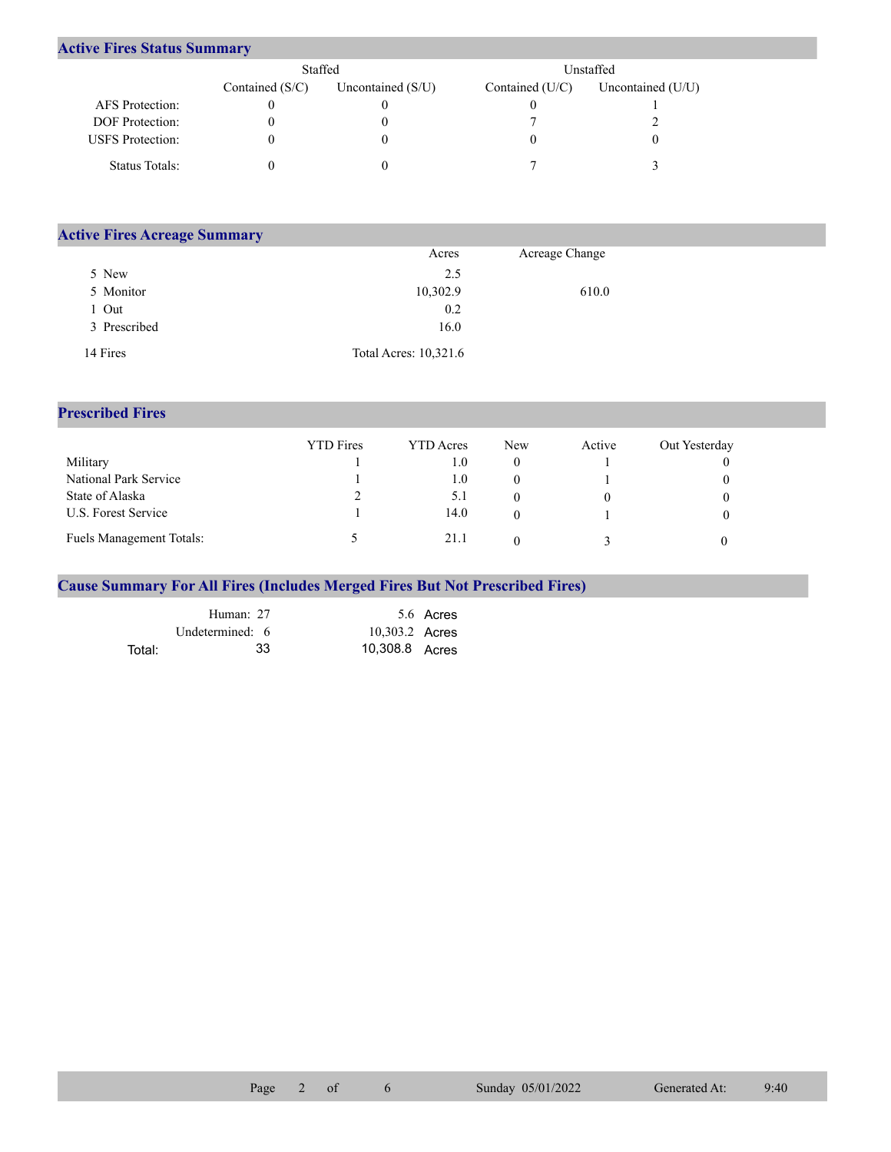## **Active Fires Status Summary**

|                         | Staffed           |                     |                 | Unstaffed           |
|-------------------------|-------------------|---------------------|-----------------|---------------------|
|                         | Contained $(S/C)$ | Uncontained $(S/U)$ | Contained (U/C) | Uncontained $(U/U)$ |
| AFS Protection:         |                   |                     |                 |                     |
| <b>DOF</b> Protection:  |                   |                     |                 |                     |
| <b>USFS</b> Protection: |                   |                     |                 |                     |
| Status Totals:          |                   |                     |                 |                     |

| <b>Active Fires Acreage Summary</b> |                       |                |
|-------------------------------------|-----------------------|----------------|
|                                     | Acres                 | Acreage Change |
| 5 New                               | 2.5                   |                |
| 5 Monitor                           | 10,302.9              | 610.0          |
| Out                                 | 0.2                   |                |
| 3 Prescribed                        | 16.0                  |                |
| 14 Fires                            | Total Acres: 10,321.6 |                |

## **Prescribed Fires**

|                                 | <b>YTD</b> Fires | <b>YTD</b> Acres | <b>New</b> | Active | Out Yesterday |
|---------------------------------|------------------|------------------|------------|--------|---------------|
| Military                        |                  | t.O              |            |        |               |
| National Park Service           |                  | $1.0\,$          |            |        |               |
| State of Alaska                 |                  | 5.1              |            |        |               |
| U.S. Forest Service             |                  | 14.0             |            |        |               |
| <b>Fuels Management Totals:</b> |                  | 21.1             |            |        |               |

## **Cause Summary For All Fires (Includes Merged Fires But Not Prescribed Fires)**

|        | Human: 27       |                | 5.6 Acres |
|--------|-----------------|----------------|-----------|
|        | Undetermined: 6 | 10,303.2 Acres |           |
| Total: | 33              | 10,308.8 Acres |           |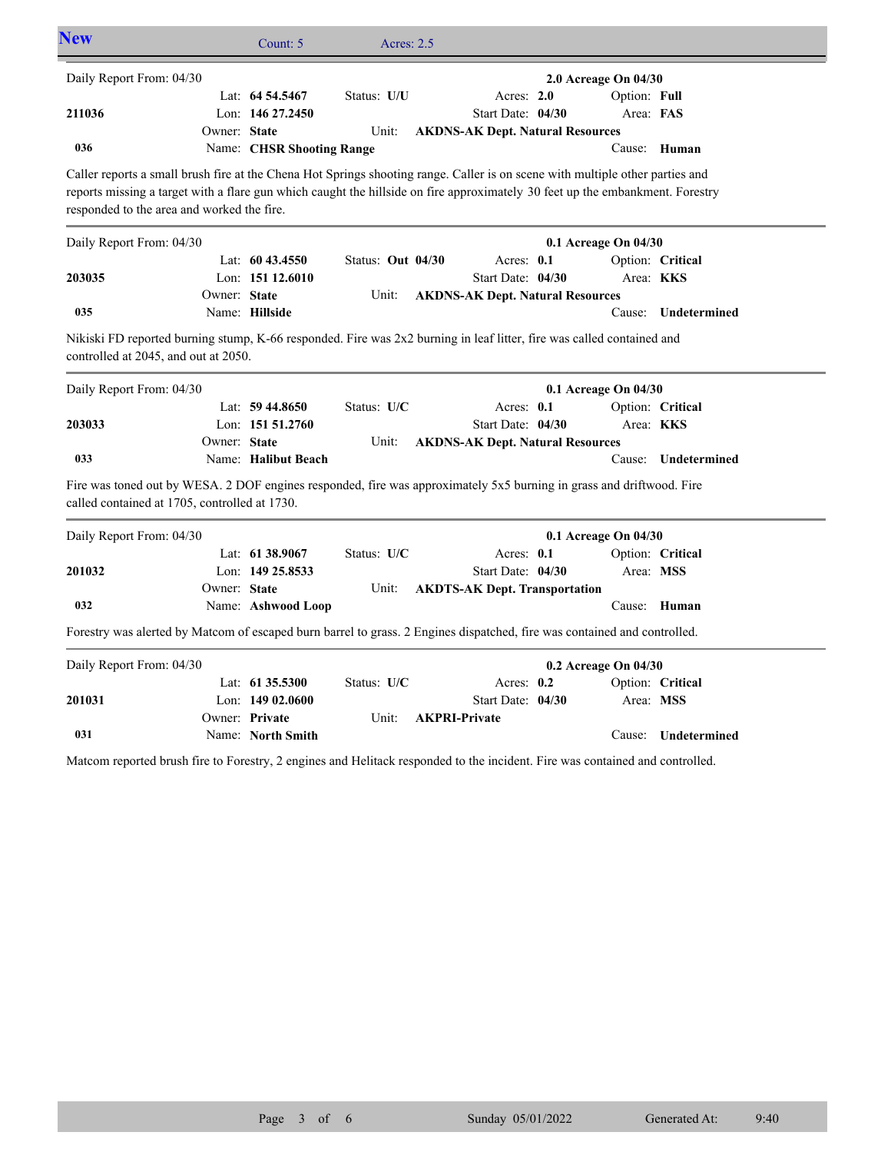| <b>New</b>                                                                                                                                                                                                                                                                                                   |              | Count: 5                  | Acres: 2.5        |                                         |                                      |                     |
|--------------------------------------------------------------------------------------------------------------------------------------------------------------------------------------------------------------------------------------------------------------------------------------------------------------|--------------|---------------------------|-------------------|-----------------------------------------|--------------------------------------|---------------------|
| Daily Report From: 04/30                                                                                                                                                                                                                                                                                     |              | Lat: 64 54.5467           | Status: U/U       | Acres: 2.0                              | 2.0 Acreage On 04/30<br>Option: Full |                     |
| 211036                                                                                                                                                                                                                                                                                                       |              | Lon: 146 27.2450          |                   | Start Date: 04/30                       | Area: FAS                            |                     |
|                                                                                                                                                                                                                                                                                                              | Owner: State |                           | Unit:             | <b>AKDNS-AK Dept. Natural Resources</b> |                                      |                     |
| 036                                                                                                                                                                                                                                                                                                          |              | Name: CHSR Shooting Range |                   |                                         |                                      | Cause: Human        |
| Caller reports a small brush fire at the Chena Hot Springs shooting range. Caller is on scene with multiple other parties and<br>reports missing a target with a flare gun which caught the hillside on fire approximately 30 feet up the embankment. Forestry<br>responded to the area and worked the fire. |              |                           |                   |                                         |                                      |                     |
| Daily Report From: 04/30                                                                                                                                                                                                                                                                                     |              |                           |                   |                                         | 0.1 Acreage On 04/30                 |                     |
|                                                                                                                                                                                                                                                                                                              |              | Lat: $6043.4550$          | Status: Out 04/30 | Acres: $0.1$                            |                                      | Option: Critical    |
| 203035                                                                                                                                                                                                                                                                                                       |              | Lon: $15112.6010$         |                   | Start Date: 04/30                       | Area: KKS                            |                     |
|                                                                                                                                                                                                                                                                                                              | Owner: State |                           | Unit:             | <b>AKDNS-AK Dept. Natural Resources</b> |                                      |                     |
| 035                                                                                                                                                                                                                                                                                                          |              | Name: Hillside            |                   |                                         | Cause:                               | Undetermined        |
| Nikiski FD reported burning stump, K-66 responded. Fire was 2x2 burning in leaf litter, fire was called contained and<br>controlled at 2045, and out at 2050.                                                                                                                                                |              |                           |                   |                                         |                                      |                     |
| Daily Report From: 04/30                                                                                                                                                                                                                                                                                     |              |                           |                   |                                         | 0.1 Acreage On 04/30                 |                     |
|                                                                                                                                                                                                                                                                                                              |              | Lat: $59\,44.8650$        | Status: U/C       | Acres: 0.1                              |                                      | Option: Critical    |
| 203033                                                                                                                                                                                                                                                                                                       |              | Lon: 151 51.2760          |                   | Start Date: 04/30                       | Area: KKS                            |                     |
| 033                                                                                                                                                                                                                                                                                                          | Owner: State | Name: Halibut Beach       | Unit:             | <b>AKDNS-AK Dept. Natural Resources</b> |                                      | Cause: Undetermined |
|                                                                                                                                                                                                                                                                                                              |              |                           |                   |                                         |                                      |                     |
| Fire was toned out by WESA. 2 DOF engines responded, fire was approximately 5x5 burning in grass and driftwood. Fire<br>called contained at 1705, controlled at 1730.                                                                                                                                        |              |                           |                   |                                         |                                      |                     |
| Daily Report From: 04/30                                                                                                                                                                                                                                                                                     |              |                           |                   |                                         | 0.1 Acreage On 04/30                 |                     |
|                                                                                                                                                                                                                                                                                                              |              | Lat: 61 38.9067           | Status: U/C       | Acres: 0.1                              |                                      | Option: Critical    |
| 201032                                                                                                                                                                                                                                                                                                       |              | Lon: 149 25.8533          |                   | Start Date: 04/30                       | Area: MSS                            |                     |
|                                                                                                                                                                                                                                                                                                              | Owner: State |                           | Unit:             | <b>AKDTS-AK Dept. Transportation</b>    |                                      |                     |
| 032                                                                                                                                                                                                                                                                                                          |              | Name: Ashwood Loop        |                   |                                         |                                      | Cause: Human        |
| Forestry was alerted by Matcom of escaped burn barrel to grass. 2 Engines dispatched, fire was contained and controlled.                                                                                                                                                                                     |              |                           |                   |                                         |                                      |                     |
| Daily Report From: 04/30                                                                                                                                                                                                                                                                                     |              |                           |                   |                                         | 0.2 Acreage On 04/30                 |                     |
|                                                                                                                                                                                                                                                                                                              |              | Lat: 61 35.5300           | Status: U/C       | Acres: 0.2                              |                                      | Option: Critical    |
| 201031                                                                                                                                                                                                                                                                                                       |              | Lon: $14902.0600$         |                   | Start Date: 04/30                       | Area: MSS                            |                     |
|                                                                                                                                                                                                                                                                                                              |              | Owner: Private            | Unit:             | <b>AKPRI-Private</b>                    |                                      |                     |
| 031                                                                                                                                                                                                                                                                                                          |              | Name: North Smith         |                   |                                         | Cause:                               | Undetermined        |

Matcom reported brush fire to Forestry, 2 engines and Helitack responded to the incident. Fire was contained and controlled.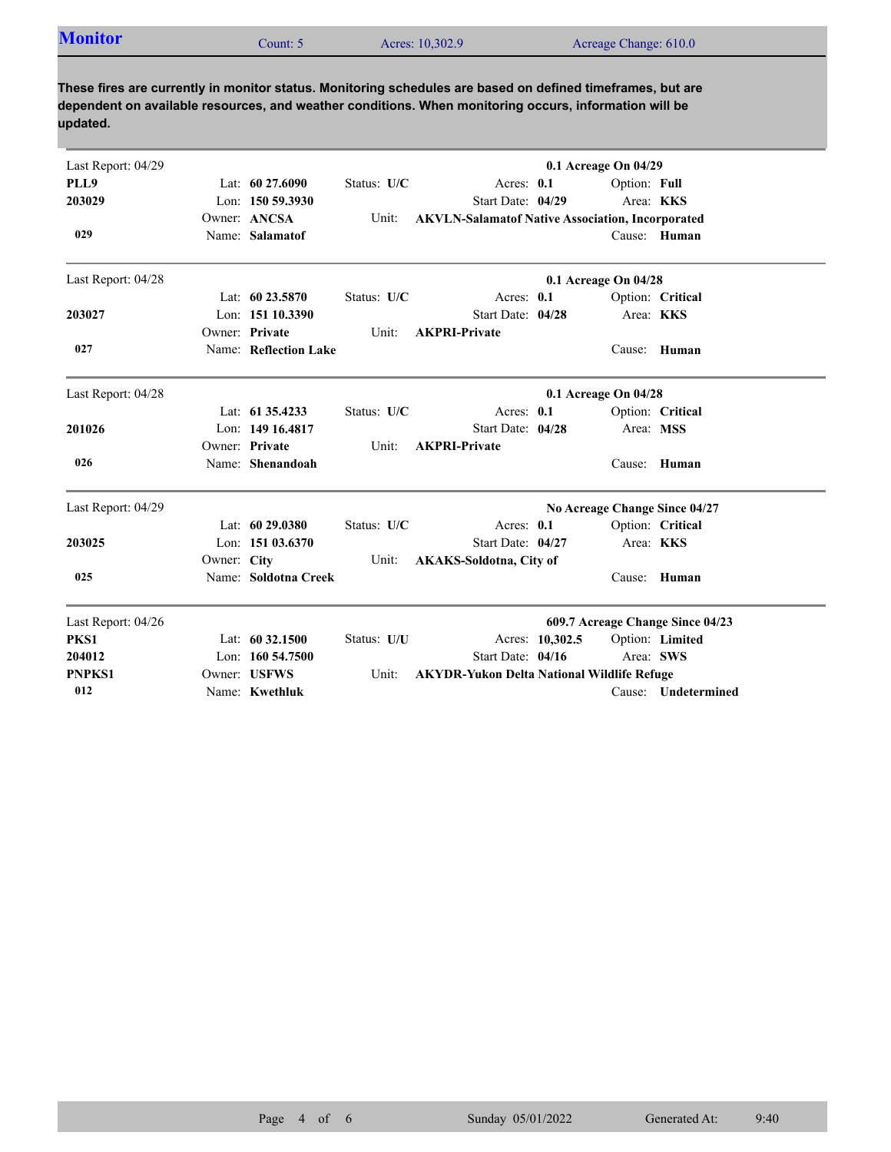| <b>Monitor</b> | Count: 5 | Acres: 10,302.9 | Acreage Change: 610.0 |
|----------------|----------|-----------------|-----------------------|
|                |          |                 |                       |
|                |          |                 |                       |

**These fires are currently in monitor status. Monitoring schedules are based on defined timeframes, but are dependent on available resources, and weather conditions. When monitoring occurs, information will be updated.**

| Last Report: 04/29 |             |                       |             |                                                         |                 | 0.1 Acreage On 04/29 |                                  |
|--------------------|-------------|-----------------------|-------------|---------------------------------------------------------|-----------------|----------------------|----------------------------------|
| PLL9               |             | Lat: $60\,27.6090$    | Status: U/C | Acres: $0.1$                                            |                 | Option: Full         |                                  |
| 203029             |             | Lon: $150,59,3930$    |             | Start Date: 04/29                                       |                 | Area: KKS            |                                  |
|                    |             | Owner: ANCSA          | Unit:       | <b>AKVLN-Salamatof Native Association, Incorporated</b> |                 |                      |                                  |
| 029                |             | Name: Salamatof       |             |                                                         |                 |                      | Cause: Human                     |
| Last Report: 04/28 |             |                       |             |                                                         |                 | 0.1 Acreage On 04/28 |                                  |
|                    |             | Lat: 60 23.5870       | Status: U/C | Acres: 0.1                                              |                 |                      | Option: Critical                 |
| 203027             |             | Lon: 151 10.3390      |             | Start Date: 04/28                                       |                 | Area: KKS            |                                  |
|                    |             | Owner: Private        | Unit:       | <b>AKPRI-Private</b>                                    |                 |                      |                                  |
| 027                |             | Name: Reflection Lake |             |                                                         |                 | Cause:               | Human                            |
| Last Report: 04/28 |             |                       |             |                                                         |                 | 0.1 Acreage On 04/28 |                                  |
|                    |             | Lat: 61 35.4233       | Status: U/C | Acres: 0.1                                              |                 |                      | Option: Critical                 |
| 201026             |             | Lon: 149 16,4817      |             | Start Date: 04/28                                       |                 | Area: MSS            |                                  |
|                    |             | Owner: Private        | Unit:       | <b>AKPRI-Private</b>                                    |                 |                      |                                  |
| 026                |             | Name: Shenandoah      |             |                                                         |                 |                      | Cause: Human                     |
| Last Report: 04/29 |             |                       |             |                                                         |                 |                      | No Acreage Change Since 04/27    |
|                    |             | Lat: 60 29.0380       | Status: U/C | Acres: 0.1                                              |                 |                      | Option: Critical                 |
| 203025             |             | Lon: 151 03.6370      |             | Start Date: 04/27                                       |                 | Area: KKS            |                                  |
|                    | Owner: City |                       | Unit:       | <b>AKAKS-Soldotna, City of</b>                          |                 |                      |                                  |
| 025                |             | Name: Soldotna Creek  |             |                                                         |                 | Cause:               | Human                            |
| Last Report: 04/26 |             |                       |             |                                                         |                 |                      | 609.7 Acreage Change Since 04/23 |
| PKS1               |             | Lat: 60 32.1500       | Status: U/U |                                                         | Acres: 10,302.5 |                      | Option: Limited                  |
| 204012             |             | Lon: 160 54.7500      |             | Start Date: 04/16                                       |                 | Area: SWS            |                                  |
| <b>PNPKS1</b>      |             | Owner: USFWS          | Unit:       | <b>AKYDR-Yukon Delta National Wildlife Refuge</b>       |                 |                      |                                  |
| 012                |             | Name: Kwethluk        |             |                                                         |                 |                      | Cause: Undetermined              |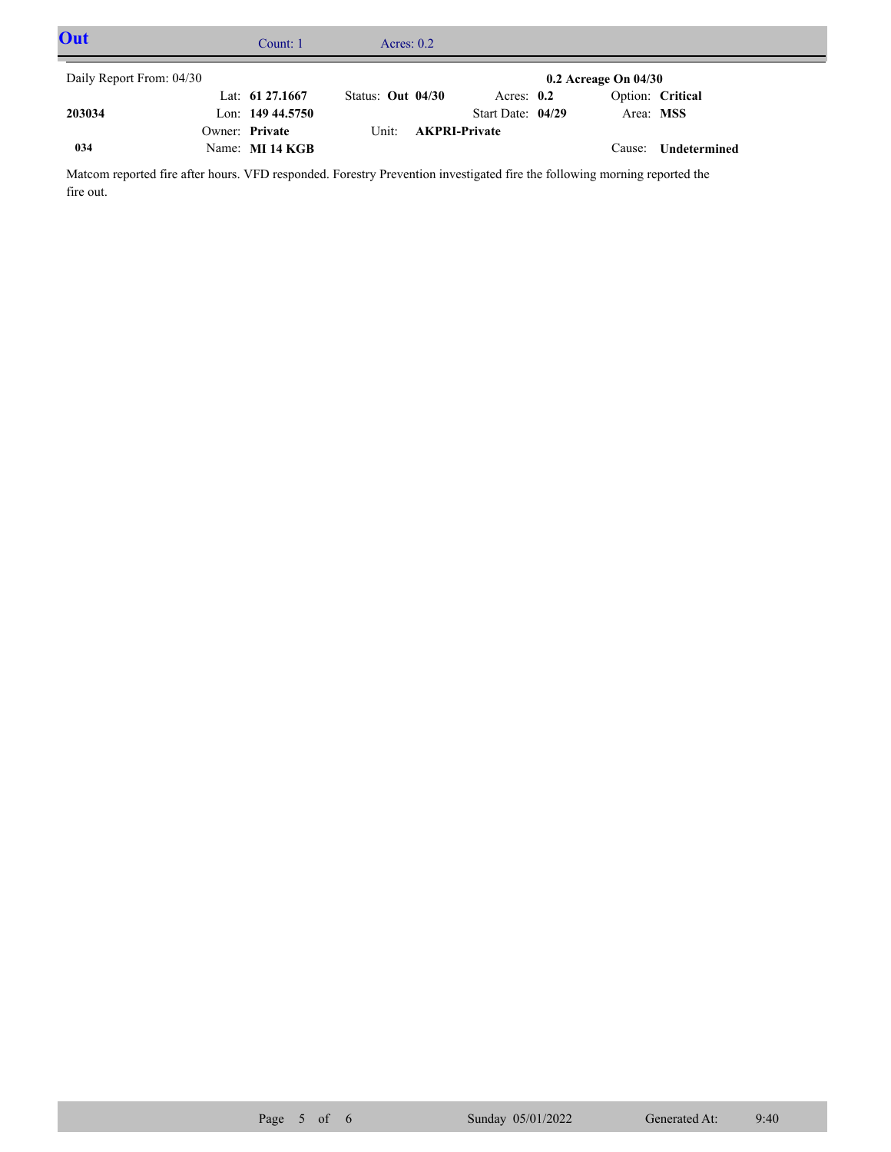| Out                      | Count: $1$         |                     | Acres: $0.2$ |                      |                          |                  |  |
|--------------------------|--------------------|---------------------|--------------|----------------------|--------------------------|------------------|--|
| Daily Report From: 04/30 |                    |                     |              |                      | $0.2$ Acreage On $04/30$ |                  |  |
|                          | Lat: $61\,27.1667$ | Status: Out $04/30$ |              | Acres: $0.2$         |                          | Option: Critical |  |
| 203034                   | Lon: $14944.5750$  |                     |              | Start Date: 04/29    | Area: MSS                |                  |  |
|                          | Owner: Private     | Unit:               |              | <b>AKPRI-Private</b> |                          |                  |  |
| 034                      | Name: MI 14 KGB    |                     |              |                      | Cause:                   | Undetermined     |  |

Matcom reported fire after hours. VFD responded. Forestry Prevention investigated fire the following morning reported the fire out.